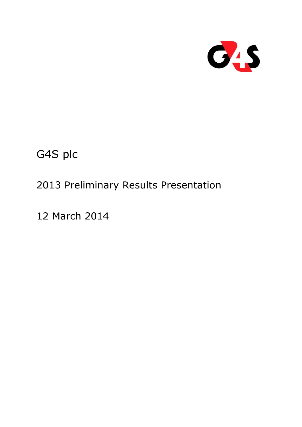

G4S plc

# 2013 Preliminary Results Presentation

12 March 2014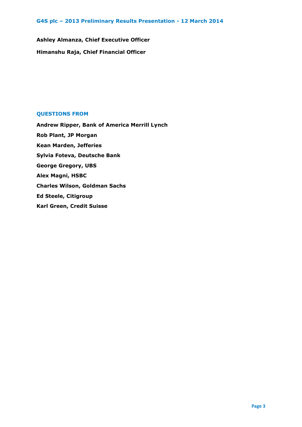**Ashley Almanza, Chief Executive Officer Himanshu Raja, Chief Financial Officer**

## **QUESTIONS FROM**

**Andrew Ripper, Bank of America Merrill Lynch Rob Plant, JP Morgan Kean Marden, Jefferies Sylvia Foteva, Deutsche Bank George Gregory, UBS Alex Magni, HSBC Charles Wilson, Goldman Sachs Ed Steele, Citigroup Karl Green, Credit Suisse**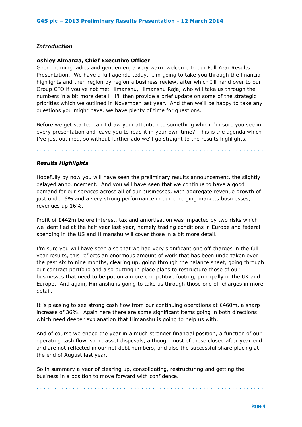## *Introduction*

## **Ashley Almanza, Chief Executive Officer**

Good morning ladies and gentlemen, a very warm welcome to our Full Year Results Presentation. We have a full agenda today. I'm going to take you through the financial highlights and then region by region a business review, after which I'll hand over to our Group CFO if you've not met Himanshu, Himanshu Raja, who will take us through the numbers in a bit more detail. I'll then provide a brief update on some of the strategic priorities which we outlined in November last year. And then we'll be happy to take any questions you might have, we have plenty of time for questions.

Before we get started can I draw your attention to something which I'm sure you see in every presentation and leave you to read it in your own time? This is the agenda which I've just outlined, so without further ado we'll go straight to the results highlights.

. . . . . . . . . . . . . . . . . . . . . . . . . . . . . . . . . . . . . . . . . . . . . . . . . . . . . . . . . . . . . . .

## *Results Highlights*

Hopefully by now you will have seen the preliminary results announcement, the slightly delayed announcement. And you will have seen that we continue to have a good demand for our services across all of our businesses, with aggregate revenue growth of just under 6% and a very strong performance in our emerging markets businesses, revenues up 16%.

Profit of £442m before interest, tax and amortisation was impacted by two risks which we identified at the half year last year, namely trading conditions in Europe and federal spending in the US and Himanshu will cover those in a bit more detail.

I'm sure you will have seen also that we had very significant one off charges in the full year results, this reflects an enormous amount of work that has been undertaken over the past six to nine months, clearing up, going through the balance sheet, going through our contract portfolio and also putting in place plans to restructure those of our businesses that need to be put on a more competitive footing, principally in the UK and Europe. And again, Himanshu is going to take us through those one off charges in more detail.

It is pleasing to see strong cash flow from our continuing operations at £460m, a sharp increase of 36%. Again here there are some significant items going in both directions which need deeper explanation that Himanshu is going to help us with.

And of course we ended the year in a much stronger financial position, a function of our operating cash flow, some asset disposals, although most of those closed after year end and are not reflected in our net debt numbers, and also the successful share placing at the end of August last year.

So in summary a year of clearing up, consolidating, restructuring and getting the business in a position to move forward with confidence.

. . . . . . . . . . . . . . . . . . . . . . . . . . . . . . . . . . . . . . . . . . . . . . . . . . . . . . . . . . . . . . .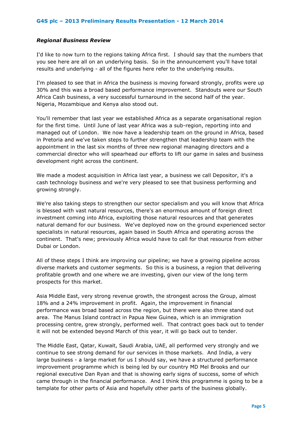## *Regional Business Review*

I'd like to now turn to the regions taking Africa first. I should say that the numbers that you see here are all on an underlying basis. So in the announcement you'll have total results and underlying - all of the figures here refer to the underlying results.

I'm pleased to see that in Africa the business is moving forward strongly, profits were up 30% and this was a broad based performance improvement. Standouts were our South Africa Cash business, a very successful turnaround in the second half of the year. Nigeria, Mozambique and Kenya also stood out.

You'll remember that last year we established Africa as a separate organisational region for the first time. Until June of last year Africa was a sub-region, reporting into and managed out of London. We now have a leadership team on the ground in Africa, based in Pretoria and we've taken steps to further strengthen that leadership team with the appointment in the last six months of three new regional managing directors and a commercial director who will spearhead our efforts to lift our game in sales and business development right across the continent.

We made a modest acquisition in Africa last year, a business we call Depositor, it's a cash technology business and we're very pleased to see that business performing and growing strongly.

We're also taking steps to strengthen our sector specialism and you will know that Africa is blessed with vast natural resources, there's an enormous amount of foreign direct investment coming into Africa, exploiting those natural resources and that generates natural demand for our business. We've deployed now on the ground experienced sector specialists in natural resources, again based in South Africa and operating across the continent. That's new; previously Africa would have to call for that resource from either Dubai or London.

All of these steps I think are improving our pipeline; we have a growing pipeline across diverse markets and customer segments. So this is a business, a region that delivering profitable growth and one where we are investing, given our view of the long term prospects for this market.

Asia Middle East, very strong revenue growth, the strongest across the Group, almost 18% and a 24% improvement in profit. Again, the improvement in financial performance was broad based across the region, but there were also three stand out area. The Manus Island contract in Papua New Guinea, which is an immigration processing centre, grew strongly, performed well. That contract goes back out to tender it will not be extended beyond March of this year, it will go back out to tender.

The Middle East, Qatar, Kuwait, Saudi Arabia, UAE, all performed very strongly and we continue to see strong demand for our services in those markets. And India, a very large business - a large market for us I should say, we have a structured performance improvement programme which is being led by our country MD Mel Brooks and our regional executive Dan Ryan and that is showing early signs of success, some of which came through in the financial performance. And I think this programme is going to be a template for other parts of Asia and hopefully other parts of the business globally.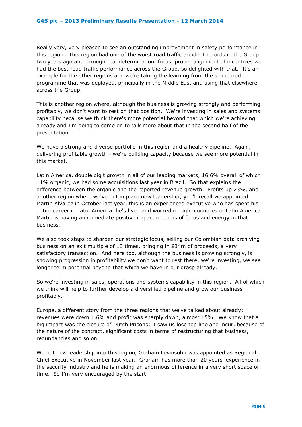Really very, very pleased to see an outstanding improvement in safety performance in this region. This region had one of the worst road traffic accident records in the Group two years ago and through real determination, focus, proper alignment of incentives we had the best road traffic performance across the Group, so delighted with that. It's an example for the other regions and we're taking the learning from the structured programme that was deployed, principally in the Middle East and using that elsewhere across the Group.

This is another region where, although the business is growing strongly and performing profitably, we don't want to rest on that position. We're investing in sales and systems capability because we think there's more potential beyond that which we're achieving already and I'm going to come on to talk more about that in the second half of the presentation.

We have a strong and diverse portfolio in this region and a healthy pipeline. Again, delivering profitable growth - we're building capacity because we see more potential in this market.

Latin America, double digit growth in all of our leading markets, 16.6% overall of which 11% organic, we had some acquisitions last year in Brazil. So that explains the difference between the organic and the reported revenue growth. Profits up 23%, and another region where we've put in place new leadership; you'll recall we appointed Martin Alvarez in October last year, this is an experienced executive who has spent his entire career in Latin America, he's lived and worked in eight countries in Latin America. Martin is having an immediate positive impact in terms of focus and energy in that business.

We also took steps to sharpen our strategic focus, selling our Colombian data archiving business on an exit multiple of 13 times, bringing in £34m of proceeds, a very satisfactory transaction. And here too, although the business is growing strongly, is showing progression in profitability we don't want to rest there, we're investing, we see longer term potential beyond that which we have in our grasp already.

So we're investing in sales, operations and systems capability in this region. All of which we think will help to further develop a diversified pipeline and grow our business profitably.

Europe, a different story from the three regions that we've talked about already; revenues were down 1.6% and profit was sharply down, almost 15%. We know that a big impact was the closure of Dutch Prisons; it saw us lose top line and incur, because of the nature of the contract, significant costs in terms of restructuring that business, redundancies and so on.

We put new leadership into this region, Graham Levinsohn was appointed as Regional Chief Executive in November last year. Graham has more than 20 years' experience in the security industry and he is making an enormous difference in a very short space of time. So I'm very encouraged by the start.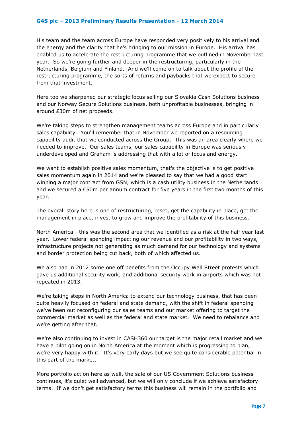His team and the team across Europe have responded very positively to his arrival and the energy and the clarity that he's bringing to our mission in Europe. His arrival has enabled us to accelerate the restructuring programme that we outlined in November last year. So we're going further and deeper in the restructuring, particularly in the Netherlands, Belgium and Finland. And we'll come on to talk about the profile of the restructuring programme, the sorts of returns and paybacks that we expect to secure from that investment.

Here too we sharpened our strategic focus selling our Slovakia Cash Solutions business and our Norway Secure Solutions business, both unprofitable businesses, bringing in around £30m of net proceeds.

We're taking steps to strengthen management teams across Europe and in particularly sales capability. You'll remember that in November we reported on a resourcing capability audit that we conducted across the Group. This was an area clearly where we needed to improve. Our sales teams, our sales capability in Europe was seriously underdeveloped and Graham is addressing that with a lot of focus and energy.

We want to establish positive sales momentum, that's the objective is to get positive sales momentum again in 2014 and we're pleased to say that we had a good start winning a major contract from GSN, which is a cash utility business in the Netherlands and we secured a €50m per annum contract for five years in the first two months of this year.

The overall story here is one of restructuring, reset, get the capability in place, get the management in place, invest to grow and improve the profitability of this business.

North America - this was the second area that we identified as a risk at the half year last year. Lower federal spending impacting our revenue and our profitability in two ways, infrastructure projects not generating as much demand for our technology and systems and border protection being cut back, both of which affected us.

We also had in 2012 some one off benefits from the Occupy Wall Street protests which gave us additional security work, and additional security work in airports which was not repeated in 2013.

We're taking steps in North America to extend our technology business, that has been quite heavily focused on federal and state demand, with the shift in federal spending we've been out reconfiguring our sales teams and our market offering to target the commercial market as well as the federal and state market. We need to rebalance and we're getting after that.

We're also continuing to invest in CASH360 our target is the major retail market and we have a pilot going on in North America at the moment which is progressing to plan, we're very happy with it. It's very early days but we see quite considerable potential in this part of the market.

More portfolio action here as well, the sale of our US Government Solutions business continues, it's quiet well advanced, but we will only conclude if we achieve satisfactory terms. If we don't get satisfactory terms this business will remain in the portfolio and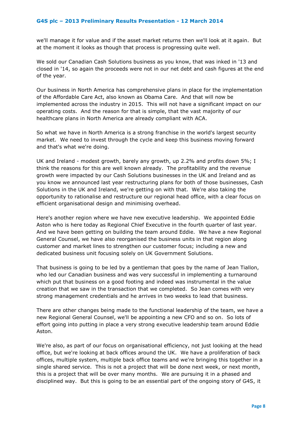we'll manage it for value and if the asset market returns then we'll look at it again. But at the moment it looks as though that process is progressing quite well.

We sold our Canadian Cash Solutions business as you know, that was inked in '13 and closed in '14, so again the proceeds were not in our net debt and cash figures at the end of the year.

Our business in North America has comprehensive plans in place for the implementation of the Affordable Care Act, also known as Obama Care. And that will now be implemented across the industry in 2015. This will not have a significant impact on our operating costs. And the reason for that is simple, that the vast majority of our healthcare plans in North America are already compliant with ACA.

So what we have in North America is a strong franchise in the world's largest security market. We need to invest through the cycle and keep this business moving forward and that's what we're doing.

UK and Ireland - modest growth, barely any growth, up 2.2% and profits down 5%; I think the reasons for this are well known already. The profitability and the revenue growth were impacted by our Cash Solutions businesses in the UK and Ireland and as you know we announced last year restructuring plans for both of those businesses, Cash Solutions in the UK and Ireland, we're getting on with that. We're also taking the opportunity to rationalise and restructure our regional head office, with a clear focus on efficient organisational design and minimising overhead.

Here's another region where we have new executive leadership. We appointed Eddie Aston who is here today as Regional Chief Executive in the fourth quarter of last year. And we have been getting on building the team around Eddie. We have a new Regional General Counsel, we have also reorganised the business units in that region along customer and market lines to strengthen our customer focus; including a new and dedicated business unit focusing solely on UK Government Solutions.

That business is going to be led by a gentleman that goes by the name of Jean Tiallon, who led our Canadian business and was very successful in implementing a turnaround which put that business on a good footing and indeed was instrumental in the value creation that we saw in the transaction that we completed. So Jean comes with very strong management credentials and he arrives in two weeks to lead that business.

There are other changes being made to the functional leadership of the team, we have a new Regional General Counsel, we'll be appointing a new CFO and so on. So lots of effort going into putting in place a very strong executive leadership team around Eddie Aston.

We're also, as part of our focus on organisational efficiency, not just looking at the head office, but we're looking at back offices around the UK. We have a proliferation of back offices, multiple system, multiple back office teams and we're bringing this together in a single shared service. This is not a project that will be done next week, or next month, this is a project that will be over many months. We are pursuing it in a phased and disciplined way. But this is going to be an essential part of the ongoing story of G4S, it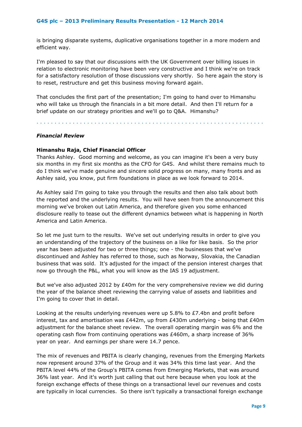is bringing disparate systems, duplicative organisations together in a more modern and efficient way.

I'm pleased to say that our discussions with the UK Government over billing issues in relation to electronic monitoring have been very constructive and I think we're on track for a satisfactory resolution of those discussions very shortly. So here again the story is to reset, restructure and get this business moving forward again.

That concludes the first part of the presentation; I'm going to hand over to Himanshu who will take us through the financials in a bit more detail. And then I'll return for a brief update on our strategy priorities and we'll go to Q&A. Himanshu?

. . . . . . . . . . . . . . . . . . . . . . . . . . . . . . . . . . . . . . . . . . . . . . . . . . . . . . . . . . . . . . .

## *Financial Review*

#### **Himanshu Raja, Chief Financial Officer**

Thanks Ashley. Good morning and welcome, as you can imagine it's been a very busy six months in my first six months as the CFO for G4S. And whilst there remains much to do I think we've made genuine and sincere solid progress on many, many fronts and as Ashley said, you know, put firm foundations in place as we look forward to 2014.

As Ashley said I'm going to take you through the results and then also talk about both the reported and the underlying results. You will have seen from the announcement this morning we've broken out Latin America, and therefore given you some enhanced disclosure really to tease out the different dynamics between what is happening in North America and Latin America.

So let me just turn to the results. We've set out underlying results in order to give you an understanding of the trajectory of the business on a like for like basis. So the prior year has been adjusted for two or three things; one - the businesses that we've discontinued and Ashley has referred to those, such as Norway, Slovakia, the Canadian business that was sold. It's adjusted for the impact of the pension interest charges that now go through the P&L, what you will know as the IAS 19 adjustment.

But we've also adjusted 2012 by  $E40m$  for the very comprehensive review we did during the year of the balance sheet reviewing the carrying value of assets and liabilities and I'm going to cover that in detail.

Looking at the results underlying revenues were up 5.8% to £7.4bn and profit before interest, tax and amortisation was  $E442m$ , up from  $E430m$  underlying - being that  $E40m$ adjustment for the balance sheet review. The overall operating margin was 6% and the operating cash flow from continuing operations was £460m, a sharp increase of 36% year on year. And earnings per share were 14.7 pence.

The mix of revenues and PBITA is clearly changing, revenues from the Emerging Markets now represent around 37% of the Group and it was 34% this time last year. And the PBITA level 44% of the Group's PBITA comes from Emerging Markets, that was around 36% last year. And it's worth just calling that out here because when you look at the foreign exchange effects of these things on a transactional level our revenues and costs are typically in local currencies. So there isn't typically a transactional foreign exchange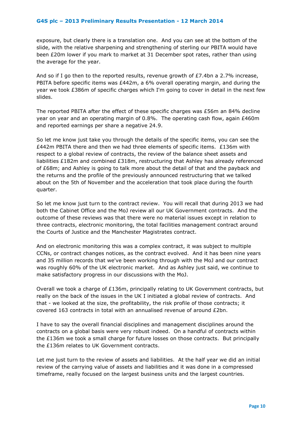exposure, but clearly there is a translation one. And you can see at the bottom of the slide, with the relative sharpening and strengthening of sterling our PBITA would have been £20m lower if you mark to market at 31 December spot rates, rather than using the average for the year.

And so if I go then to the reported results, revenue growth of  $E7.4$ bn a 2.7% increase, PBITA before specific items was £442m, a 6% overall operating margin, and during the year we took £386m of specific charges which I'm going to cover in detail in the next few slides.

The reported PBITA after the effect of these specific charges was £56m an 84% decline year on year and an operating margin of 0.8%. The operating cash flow, again £460m and reported earnings per share a negative 24.9.

So let me know just take you through the details of the specific items, you can see the £442m PBITA there and then we had three elements of specific items. £136m with respect to a global review of contracts, the review of the balance sheet assets and liabilities £182m and combined £318m, restructuring that Ashley has already referenced of £68m; and Ashley is going to talk more about the detail of that and the payback and the returns and the profile of the previously announced restructuring that we talked about on the 5th of November and the acceleration that took place during the fourth quarter.

So let me know just turn to the contract review. You will recall that during 2013 we had both the Cabinet Office and the MoJ review all our UK Government contracts. And the outcome of these reviews was that there were no material issues except in relation to three contracts, electronic monitoring, the total facilities management contract around the Courts of Justice and the Manchester Magistrates contract.

And on electronic monitoring this was a complex contract, it was subject to multiple CCNs, or contract changes notices, as the contract evolved. And it has been nine years and 35 million records that we've been working through with the MoJ and our contract was roughly 60% of the UK electronic market. And as Ashley just said, we continue to make satisfactory progress in our discussions with the MoJ.

Overall we took a charge of £136m, principally relating to UK Government contracts, but really on the back of the issues in the UK I initiated a global review of contracts. And that - we looked at the size, the profitability, the risk profile of those contracts; it covered 163 contracts in total with an annualised revenue of around £2bn.

I have to say the overall financial disciplines and management disciplines around the contracts on a global basis were very robust indeed. On a handful of contracts within the  $£136m$  we took a small charge for future losses on those contracts. But principally the £136m relates to UK Government contracts.

Let me just turn to the review of assets and liabilities. At the half year we did an initial review of the carrying value of assets and liabilities and it was done in a compressed timeframe, really focused on the largest business units and the largest countries.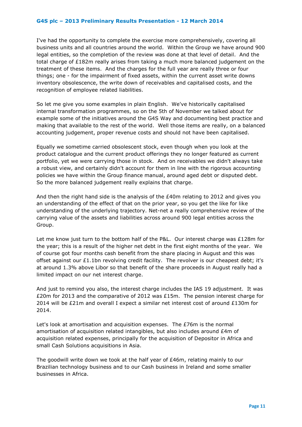I've had the opportunity to complete the exercise more comprehensively, covering all business units and all countries around the world. Within the Group we have around 900 legal entities, so the completion of the review was done at that level of detail. And the total charge of £182m really arises from taking a much more balanced judgement on the treatment of these items. And the charges for the full year are really three or four things; one - for the impairment of fixed assets, within the current asset write downs inventory obsolescence, the write down of receivables and capitalised costs, and the recognition of employee related liabilities.

So let me give you some examples in plain English. We've historically capitalised internal transformation programmes, so on the 5th of November we talked about for example some of the initiatives around the G4S Way and documenting best practice and making that available to the rest of the world. Well those items are really, on a balanced accounting judgement, proper revenue costs and should not have been capitalised.

Equally we sometime carried obsolescent stock, even though when you look at the product catalogue and the current product offerings they no longer featured as current portfolio, yet we were carrying those in stock. And on receivables we didn't always take a robust view, and certainly didn't account for them in line with the rigorous accounting policies we have within the Group finance manual, around aged debt or disputed debt. So the more balanced judgement really explains that charge.

And then the right hand side is the analysis of the £40m relating to 2012 and gives you an understanding of the effect of that on the prior year, so you get the like for like understanding of the underlying trajectory. Net-net a really comprehensive review of the carrying value of the assets and liabilities across around 900 legal entities across the Group.

Let me know just turn to the bottom half of the P&L. Our interest charge was £128m for the year; this is a result of the higher net debt in the first eight months of the year. We of course got four months cash benefit from the share placing in August and this was offset against our  $£1.1$ bn revolving credit facility. The revolver is our cheapest debt; it's at around 1.3% above Libor so that benefit of the share proceeds in August really had a limited impact on our net interest charge.

And just to remind you also, the interest charge includes the IAS 19 adjustment. It was £20m for 2013 and the comparative of 2012 was £15m. The pension interest charge for 2014 will be £21m and overall I expect a similar net interest cost of around £130m for 2014.

Let's look at amortisation and acquisition expenses. The £76m is the normal amortisation of acquisition related intangibles, but also includes around £4m of acquisition related expenses, principally for the acquisition of Depositor in Africa and small Cash Solutions acquisitions in Asia.

The goodwill write down we took at the half year of £46m, relating mainly to our Brazilian technology business and to our Cash business in Ireland and some smaller businesses in Africa.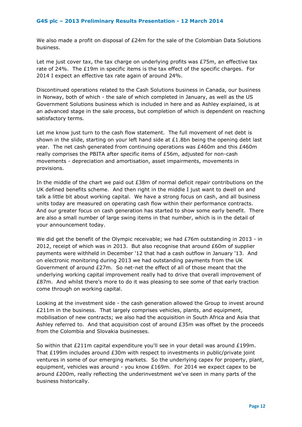We also made a profit on disposal of £24m for the sale of the Colombian Data Solutions business.

Let me just cover tax, the tax charge on underlying profits was  $E75m$ , an effective tax rate of 24%. The £19m in specific items is the tax effect of the specific charges. For 2014 I expect an effective tax rate again of around 24%.

Discontinued operations related to the Cash Solutions business in Canada, our business in Norway, both of which - the sale of which completed in January, as well as the US Government Solutions business which is included in here and as Ashley explained, is at an advanced stage in the sale process, but completion of which is dependent on reaching satisfactory terms.

Let me know just turn to the cash flow statement. The full movement of net debt is shown in the slide, starting on your left hand side at  $£1.8$ bn being the opening debt last year. The net cash generated from continuing operations was £460m and this £460m really comprises the PBITA after specific items of £56m, adjusted for non-cash movements - depreciation and amortisation, asset impairments, movements in provisions.

In the middle of the chart we paid out £38m of normal deficit repair contributions on the UK defined benefits scheme. And then right in the middle I just want to dwell on and talk a little bit about working capital. We have a strong focus on cash, and all business units today are measured on operating cash flow within their performance contracts. And our greater focus on cash generation has started to show some early benefit. There are also a small number of large swing items in that number, which is in the detail of your announcement today.

We did get the benefit of the Olympic receivable; we had £76m outstanding in 2013 - in 2012, receipt of which was in 2013. But also recognise that around £60m of supplier payments were withheld in December '12 that had a cash outflow in January '13. And on electronic monitoring during 2013 we had outstanding payments from the UK Government of around £27m. So net-net the effect of all of those meant that the underlying working capital improvement really had to drive that overall improvement of £87m. And whilst there's more to do it was pleasing to see some of that early traction come through on working capital.

Looking at the investment side - the cash generation allowed the Group to invest around £211m in the business. That largely comprises vehicles, plants, and equipment, mobilisation of new contracts; we also had the acquisition in South Africa and Asia that Ashley referred to. And that acquisition cost of around £35m was offset by the proceeds from the Colombia and Slovakia businesses.

So within that £211m capital expenditure you'll see in your detail was around £199m. That £199m includes around £30m with respect to investments in public/private joint ventures in some of our emerging markets. So the underlying capex for property, plant, equipment, vehicles was around - you know £169m. For 2014 we expect capex to be around £200m, really reflecting the underinvestment we've seen in many parts of the business historically.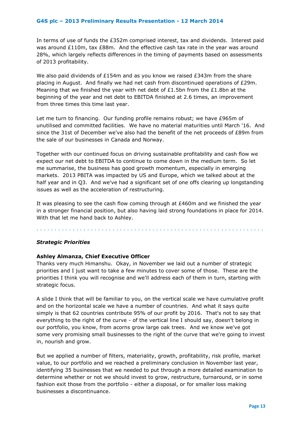In terms of use of funds the £352m comprised interest, tax and dividends. Interest paid was around £110m, tax £88m. And the effective cash tax rate in the year was around 28%, which largely reflects differences in the timing of payments based on assessments of 2013 profitability.

We also paid dividends of £154m and as you know we raised £343m from the share placing in August. And finally we had net cash from discontinued operations of £29m. Meaning that we finished the year with net debt of £1.5bn from the £1.8bn at the beginning of the year and net debt to EBITDA finished at 2.6 times, an improvement from three times this time last year.

Let me turn to financing. Our funding profile remains robust; we have £965m of unutilised and committed facilities. We have no material maturities until March '16. And since the 31st of December we've also had the benefit of the net proceeds of £89m from the sale of our businesses in Canada and Norway.

Together with our continued focus on driving sustainable profitability and cash flow we expect our net debt to EBITDA to continue to come down in the medium term. So let me summarise, the business has good growth momentum, especially in emerging markets. 2013 PBITA was impacted by US and Europe, which we talked about at the half year and in Q3. And we've had a significant set of one offs clearing up longstanding issues as well as the acceleration of restructuring.

It was pleasing to see the cash flow coming through at £460m and we finished the year in a stronger financial position, but also having laid strong foundations in place for 2014. With that let me hand back to Ashley.

. . . . . . . . . . . . . . . . . . . . . . . . . . . . . . . . . . . . . . . . . . . . . . . . . . . . . . . . . . . . . . .

## *Strategic Priorities*

## **Ashley Almanza, Chief Executive Officer**

Thanks very much Himanshu. Okay, in November we laid out a number of strategic priorities and I just want to take a few minutes to cover some of those. These are the priorities I think you will recognise and we'll address each of them in turn, starting with strategic focus.

A slide I think that will be familiar to you, on the vertical scale we have cumulative profit and on the horizontal scale we have a number of countries. And what it says quite simply is that 62 countries contribute 95% of our profit by 2016. That's not to say that everything to the right of the curve - of the vertical line I should say, doesn't belong in our portfolio, you know, from acorns grow large oak trees. And we know we've got some very promising small businesses to the right of the curve that we're going to invest in, nourish and grow.

But we applied a number of filters, materiality, growth, profitability, risk profile, market value, to our portfolio and we reached a preliminary conclusion in November last year, identifying 35 businesses that we needed to put through a more detailed examination to determine whether or not we should invest to grow, restructure, turnaround, or in some fashion exit those from the portfolio - either a disposal, or for smaller loss making businesses a discontinuance.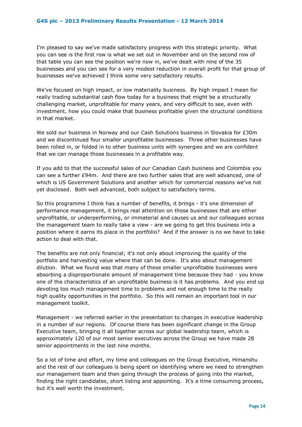I'm pleased to say we've made satisfactory progress with this strategic priority. What you can see is the first row is what we set out in November and on the second row of that table you can see the position we're now in, we've dealt with nine of the 35 businesses and you can see for a very modest reduction in overall profit for that group of businesses we've achieved I think some very satisfactory results.

We've focused on high impact, or low materiality business. By high impact I mean for really trading substantial cash flow today for a business that might be a structurally challenging market, unprofitable for many years, and very difficult to see, even with investment, how you could make that business profitable given the structural conditions in that market.

We sold our business in Norway and our Cash Solutions business in Slovakia for £30m and we discontinued four smaller unprofitable businesses. Three other businesses have been rolled in, or folded in to other business units with synergies and we are confident that we can manage those businesses in a profitable way.

If you add to that the successful sales of our Canadian Cash business and Colombia you can see a further £94m. And there are two further sales that are well advanced, one of which is US Government Solutions and another which for commercial reasons we've not yet disclosed. Both well advanced, both subject to satisfactory terms.

So this programme I think has a number of benefits, it brings - it's one dimension of performance management, it brings real attention on those businesses that are either unprofitable, or underperforming, or immaterial and causes us and our colleagues across the management team to really take a view - are we going to get this business into a position where it earns its place in the portfolio? And if the answer is no we have to take action to deal with that.

The benefits are not only financial; it's not only about improving the quality of the portfolio and harvesting value where that can be done. It's also about management dilution. What we found was that many of these smaller unprofitable businesses were absorbing a disproportionate amount of management time because they had - you know one of the characteristics of an unprofitable business is it has problems. And you end up devoting too much management time to problems and not enough time to the really high quality opportunities in the portfolio. So this will remain an important tool in our management toolkit.

Management - we referred earlier in the presentation to changes in executive leadership in a number of our regions. Of course there has been significant change in the Group Executive team, bringing it all together across our global leadership team, which is approximately 120 of our most senior executives across the Group we have made 28 senior appointments in the last nine months.

So a lot of time and effort, my time and colleagues on the Group Executive, Himanshu and the rest of our colleagues is being spent on identifying where we need to strengthen our management team and then going through the process of going into the market, finding the right candidates, short listing and appointing. It's a time consuming process, but it's well worth the investment.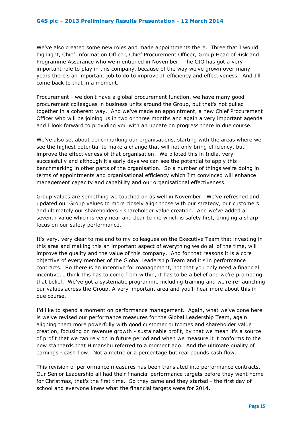We've also created some new roles and made appointments there. Three that I would highlight, Chief Information Officer, Chief Procurement Officer, Group Head of Risk and Programme Assurance who we mentioned in November. The CIO has got a very important role to play in this company, because of the way we've grown over many years there's an important job to do to improve IT efficiency and effectiveness. And I'll come back to that in a moment.

Procurement - we don't have a global procurement function, we have many good procurement colleagues in business units around the Group, but that's not pulled together in a coherent way. And we've made an appointment, a new Chief Procurement Officer who will be joining us in two or three months and again a very important agenda and I look forward to providing you with an update on progress there in due course.

We've also set about benchmarking our organisations, starting with the areas where we see the highest potential to make a change that will not only bring efficiency, but improve the effectiveness of that organisation. We piloted this in India, very successfully and although it's early days we can see the potential to apply this benchmarking in other parts of the organisation. So a number of things we're doing in terms of appointments and organisational efficiency which I'm convinced will enhance management capacity and capability and our organisational effectiveness.

Group values are something we touched on as well in November. We've refreshed and updated our Group values to more closely align those with our strategy, our customers and ultimately our shareholders - shareholder value creation. And we've added a seventh value which is very near and dear to me which is safety first, bringing a sharp focus on our safety performance.

It's very, very clear to me and to my colleagues on the Executive Team that investing in this area and making this an important aspect of everything we do all of the time, will improve the quality and the value of this company. And for that reasons it is a core objective of every member of the Global Leadership Team and it's in performance contracts. So there is an incentive for management, not that you only need a financial incentive, I think this has to come from within, it has to be a belief and we're promoting that belief. We've got a systematic programme including training and we're re-launching our values across the Group. A very important area and you'll hear more about this in due course.

I'd like to spend a moment on performance management. Again, what we've done here is we've revised our performance measures for the Global Leadership Team, again aligning them more powerfully with good customer outcomes and shareholder value creation, focusing on revenue growth - sustainable profit, by that we mean it's a source of profit that we can rely on in future period and when we measure it it conforms to the new standards that Himanshu referred to a moment ago. And the ultimate quality of earnings - cash flow. Not a metric or a percentage but real pounds cash flow.

This revision of performance measures has been translated into performance contracts. Our Senior Leadership all had their financial performance targets before they went home for Christmas, that's the first time. So they came and they started - the first day of school and everyone knew what the financial targets were for 2014.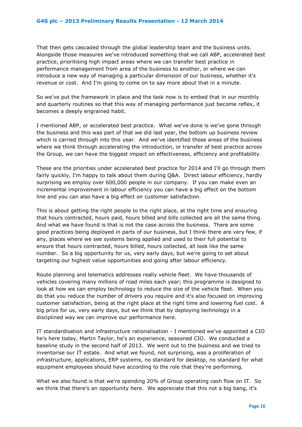That then gets cascaded through the global leadership team and the business units. Alongside those measures we've introduced something that we call ABP, accelerated best practice, prioritising high impact areas where we can transfer best practice in performance management from area of the business to another, or where we can introduce a new way of managing a particular dimension of our business, whether it's revenue or cost. And I'm going to come on to say more about that in a minute.

So we've put the framework in place and the task now is to embed that in our monthly and quarterly routines so that this way of managing performance just become reflex, it becomes a deeply engrained habit.

I mentioned ABP, or accelerated best practice. What we've done is we've gone through the business and this was part of that we did last year, the bottom up business review which is carried through into this year. And we've identified those areas of the business where we think through accelerating the introduction, or transfer of best practice across the Group, we can have the biggest impact on effectiveness, efficiency and profitability.

These are the priorities under accelerated best practice for 2014 and I'll go through them fairly quickly, I'm happy to talk about them during Q&A. Direct labour efficiency, hardly surprising we employ over 600,000 people in our company. If you can make even an incremental improvement in labour efficiency you can have a big effect on the bottom line and you can also have a big effect on customer satisfaction.

This is about getting the right people to the right place, at the right time and ensuring that hours contracted, hours paid, hours billed and bills collected are all the same thing. And what we have found is that is not the case across the business. There are some good practices being deployed in parts of our business, but I think there are very few, if any, places where we see systems being applied and used to their full potential to ensure that hours contracted, hours billed, hours collected, all look like the same number. So a big opportunity for us, very early days, but we're going to set about targeting our highest value opportunities and going after labour efficiency.

Route planning and telematics addresses really vehicle fleet. We have thousands of vehicles covering many millions of road miles each year; this programme is designed to look at how we can employ technology to reduce the size of the vehicle fleet. When you do that you reduce the number of drivers you require and it's also focused on improving customer satisfaction, being at the right place at the right time and lowering fuel cost. A big prize for us, very early days, but we think that by deploying technology in a disciplined way we can improve our performance here.

IT standardisation and infrastructure rationalisation - I mentioned we've appointed a CIO he's here today, Martin Taylor, he's an experience, seasoned CIO. We conducted a baseline study in the second half of 2013. We went out to the business and we tried to inventorise our IT estate. And what we found, not surprising, was a proliferation of infrastructure, applications, ERP systems, no standard for desktop, no standard for what equipment employees should have according to the role that they're performing.

What we also found is that we're spending 20% of Group operating cash flow on IT. So we think that there's an opportunity here. We appreciate that this not a big bang, it's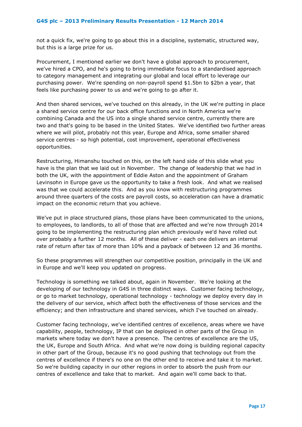not a quick fix, we're going to go about this in a discipline, systematic, structured way, but this is a large prize for us.

Procurement, I mentioned earlier we don't have a global approach to procurement, we've hired a CPO, and he's going to bring immediate focus to a standardised approach to category management and integrating our global and local effort to leverage our purchasing power. We're spending on non-payroll spend \$1.5bn to \$2bn a year, that feels like purchasing power to us and we're going to go after it.

And then shared services, we've touched on this already, in the UK we're putting in place a shared service centre for our back office functions and in North America we're combining Canada and the US into a single shared service centre, currently there are two and that's going to be based in the United States. We've identified two further areas where we will pilot, probably not this year, Europe and Africa, some smaller shared service centres - so high potential, cost improvement, operational effectiveness opportunities.

Restructuring, Himanshu touched on this, on the left hand side of this slide what you have is the plan that we laid out in November. The change of leadership that we had in both the UK, with the appointment of Eddie Aston and the appointment of Graham Levinsohn in Europe gave us the opportunity to take a fresh look. And what we realised was that we could accelerate this. And as you know with restructuring programmes around three quarters of the costs are payroll costs, so acceleration can have a dramatic impact on the economic return that you achieve.

We've put in place structured plans, those plans have been communicated to the unions, to employees, to landlords, to all of those that are affected and we're now through 2014 going to be implementing the restructuring plan which previously we'd have rolled out over probably a further 12 months. All of these deliver - each one delivers an internal rate of return after tax of more than 10% and a payback of between 12 and 36 months.

So these programmes will strengthen our competitive position, principally in the UK and in Europe and we'll keep you updated on progress.

Technology is something we talked about, again in November. We're looking at the developing of our technology in G4S in three distinct ways. Customer facing technology, or go to market technology, operational technology - technology we deploy every day in the delivery of our service, which affect both the effectiveness of those services and the efficiency; and then infrastructure and shared services, which I've touched on already.

Customer facing technology, we've identified centres of excellence, areas where we have capability, people, technology, IP that can be deployed in other parts of the Group in markets where today we don't have a presence. The centres of excellence are the US, the UK, Europe and South Africa. And what we're now doing is building regional capacity in other part of the Group, because it's no good pushing that technology out from the centres of excellence if there's no one on the other end to receive and take it to market. So we're building capacity in our other regions in order to absorb the push from our centres of excellence and take that to market. And again we'll come back to that.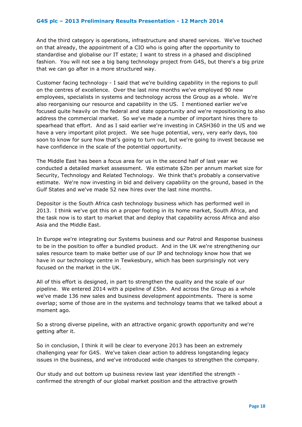And the third category is operations, infrastructure and shared services. We've touched on that already, the appointment of a CIO who is going after the opportunity to standardise and globalise our IT estate; I want to stress in a phased and disciplined fashion. You will not see a big bang technology project from G4S, but there's a big prize that we can go after in a more structured way.

Customer facing technology - I said that we're building capability in the regions to pull on the centres of excellence. Over the last nine months we've employed 90 new employees, specialists in systems and technology across the Group as a whole. We're also reorganising our resource and capability in the US. I mentioned earlier we've focused quite heavily on the federal and state opportunity and we're repositioning to also address the commercial market. So we've made a number of important hires there to spearhead that effort. And as I said earlier we're investing in CASH360 in the US and we have a very important pilot project. We see huge potential, very, very early days, too soon to know for sure how that's going to turn out, but we're going to invest because we have confidence in the scale of the potential opportunity.

The Middle East has been a focus area for us in the second half of last year we conducted a detailed market assessment. We estimate \$2bn per annum market size for Security, Technology and Related Technology. We think that's probably a conservative estimate. We're now investing in bid and delivery capability on the ground, based in the Gulf States and we've made 52 new hires over the last nine months.

Depositor is the South Africa cash technology business which has performed well in 2013. I think we've got this on a proper footing in its home market, South Africa, and the task now is to start to market that and deploy that capability across Africa and also Asia and the Middle East.

In Europe we're integrating our Systems business and our Patrol and Response business to be in the position to offer a bundled product. And in the UK we're strengthening our sales resource team to make better use of our IP and technology know how that we have in our technology centre in Tewkesbury, which has been surprisingly not very focused on the market in the UK.

All of this effort is designed, in part to strengthen the quality and the scale of our pipeline. We entered 2014 with a pipeline of  $E$ 5bn. And across the Group as a whole we've made 136 new sales and business development appointments. There is some overlap; some of those are in the systems and technology teams that we talked about a moment ago.

So a strong diverse pipeline, with an attractive organic growth opportunity and we're getting after it.

So in conclusion, I think it will be clear to everyone 2013 has been an extremely challenging year for G4S. We've taken clear action to address longstanding legacy issues in the business, and we've introduced wide changes to strengthen the company.

Our study and out bottom up business review last year identified the strength confirmed the strength of our global market position and the attractive growth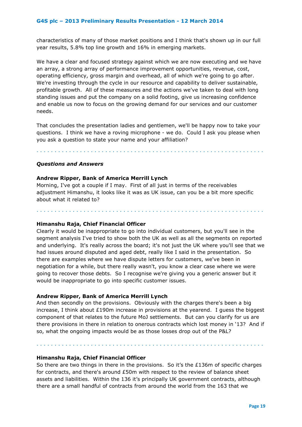characteristics of many of those market positions and I think that's shown up in our full year results, 5.8% top line growth and 16% in emerging markets.

We have a clear and focused strategy against which we are now executing and we have an array, a strong array of performance improvement opportunities, revenue, cost, operating efficiency, gross margin and overhead, all of which we're going to go after. We're investing through the cycle in our resource and capability to deliver sustainable, profitable growth. All of these measures and the actions we've taken to deal with long standing issues and put the company on a solid footing, give us increasing confidence and enable us now to focus on the growing demand for our services and our customer needs.

That concludes the presentation ladies and gentlemen, we'll be happy now to take your questions. I think we have a roving microphone - we do. Could I ask you please when you ask a question to state your name and your affiliation?

. . . . . . . . . . . . . . . . . . . . . . . . . . . . . . . . . . . . . . . . . . . . . . . . . . . . . . . . . . . . . . .

## *Questions and Answers*

## **Andrew Ripper, Bank of America Merrill Lynch**

Morning, I've got a couple if I may. First of all just in terms of the receivables adjustment Himanshu, it looks like it was as UK issue, can you be a bit more specific about what it related to?

. . . . . . . . . . . . . . . . . . . . . . . . . . . . . . . . . . . . . . . . . . . . . . . . . . . . . . . . . . . . . . .

#### **Himanshu Raja, Chief Financial Officer**

Clearly it would be inappropriate to go into individual customers, but you'll see in the segment analysis I've tried to show both the UK as well as all the segments on reported and underlying. It's really across the board; it's not just the UK where you'll see that we had issues around disputed and aged debt, really like I said in the presentation. So there are examples where we have dispute letters for customers, we've been in negotiation for a while, but there really wasn't, you know a clear case where we were going to recover those debts. So I recognise we're giving you a generic answer but it would be inappropriate to go into specific customer issues.

## **Andrew Ripper, Bank of America Merrill Lynch**

And then secondly on the provisions. Obviously with the charges there's been a big increase, I think about £190m increase in provisions at the yearend. I guess the biggest component of that relates to the future MoJ settlements. But can you clarify for us are there provisions in there in relation to onerous contracts which lost money in '13? And if so, what the ongoing impacts would be as those losses drop out of the P&L?

. . . . . . . . . . . . . . . . . . . . . . . . . . . . . . . . . . . . . . . . . . . . . . . . . . . . . . . . . . . . . . .

#### **Himanshu Raja, Chief Financial Officer**

So there are two things in there in the provisions. So it's the £136m of specific charges for contracts, and there's around £50m with respect to the review of balance sheet assets and liabilities. Within the 136 it's principally UK government contracts, although there are a small handful of contracts from around the world from the 163 that we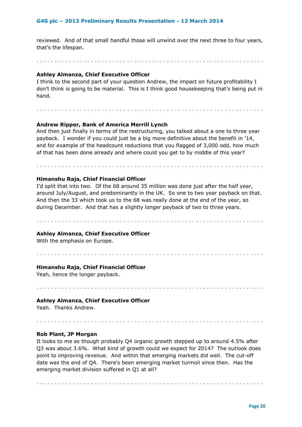reviewed. And of that small handful those will unwind over the next three to four years, that's the lifespan.

. . . . . . . . . . . . . . . . . . . . . . . . . . . . . . . . . . . . . . . . . . . . . . . . . . . . . . . . . . . . . . .

## **Ashley Almanza, Chief Executive Officer**

I think to the second part of your question Andrew, the impact on future profitability I don't think is going to be material. This is I think good housekeeping that's being put in hand.

. . . . . . . . . . . . . . . . . . . . . . . . . . . . . . . . . . . . . . . . . . . . . . . . . . . . . . . . . . . . . . .

## **Andrew Ripper, Bank of America Merrill Lynch**

And then just finally in terms of the restructuring, you talked about a one to three year payback. I wonder if you could just be a big more definitive about the benefit in '14, and for example of the headcount reductions that you flagged of 3,000 odd, how much of that has been done already and where could you get to by middle of this year?

. . . . . . . . . . . . . . . . . . . . . . . . . . . . . . . . . . . . . . . . . . . . . . . . . . . . . . . . . . . . . . .

## **Himanshu Raja, Chief Financial Officer**

I'd split that into two. Of the 68 around 35 million was done just after the half year, around July/August, and predominantly in the UK. So one to two year payback on that. And then the 33 which took us to the 68 was really done at the end of the year, so during December. And that has a slightly longer payback of two to three years.

. . . . . . . . . . . . . . . . . . . . . . . . . . . . . . . . . . . . . . . . . . . . . . . . . . . . . . . . . . . . . . .

. . . . . . . . . . . . . . . . . . . . . . . . . . . . . . . . . . . . . . . . . . . . . . . . . . . . . . . . . . . . . . .

. . . . . . . . . . . . . . . . . . . . . . . . . . . . . . . . . . . . . . . . . . . . . . . . . . . . . . . . . . . . . . .

#### **Ashley Almanza, Chief Executive Officer**

With the emphasis on Europe.

#### **Himanshu Raja, Chief Financial Officer**

Yeah, hence the longer payback.

#### **Ashley Almanza, Chief Executive Officer**

Yeah. Thanks Andrew.

#### **Rob Plant, JP Morgan**

It looks to me as though probably Q4 organic growth stepped up to around 4.5% after Q3 was about 3.6%. What kind of growth could we expect for 2014? The outlook does point to improving revenue. And within that emerging markets did well. The cut-off date was the end of Q4. There's been emerging market turmoil since then. Has the emerging market division suffered in Q1 at all?

. . . . . . . . . . . . . . . . . . . . . . . . . . . . . . . . . . . . . . . . . . . . . . . . . . . . . . . . . . . . . . .

. . . . . . . . . . . . . . . . . . . . . . . . . . . . . . . . . . . . . . . . . . . . . . . . . . . . . . . . . . . . . . .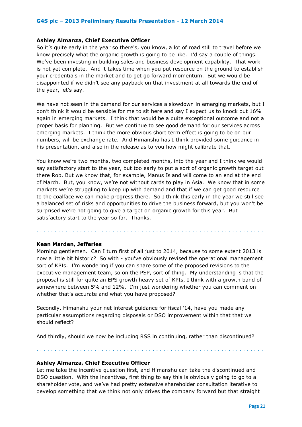#### **Ashley Almanza, Chief Executive Officer**

So it's quite early in the year so there's, you know, a lot of road still to travel before we know precisely what the organic growth is going to be like. I'd say a couple of things. We've been investing in building sales and business development capability. That work is not yet complete. And it takes time when you put resource on the ground to establish your credentials in the market and to get go forward momentum. But we would be disappointed if we didn't see any payback on that investment at all towards the end of the year, let's say.

We have not seen in the demand for our services a slowdown in emerging markets, but I don't think it would be sensible for me to sit here and say I expect us to knock out 16% again in emerging markets. I think that would be a quite exceptional outcome and not a proper basis for planning. But we continue to see good demand for our services across emerging markets. I think the more obvious short term effect is going to be on our numbers, will be exchange rate. And Himanshu has I think provided some guidance in his presentation, and also in the release as to you how might calibrate that.

You know we're two months, two completed months, into the year and I think we would say satisfactory start to the year, but too early to put a sort of organic growth target out there Rob. But we know that, for example, Manus Island will come to an end at the end of March. But, you know, we're not without cards to play in Asia. We know that in some markets we're struggling to keep up with demand and that if we can get good resource to the coalface we can make progress there. So I think this early in the year we still see a balanced set of risks and opportunities to drive the business forward, but you won't be surprised we're not going to give a target on organic growth for this year. But satisfactory start to the year so far. Thanks.

#### **Kean Marden, Jefferies**

Morning gentlemen. Can I turn first of all just to 2014, because to some extent 2013 is now a little bit historic? So with - you've obviously revised the operational management sort of KPIs. I'm wondering if you can share some of the proposed revisions to the executive management team, so on the PSP, sort of thing. My understanding is that the proposal is still for quite an EPS growth heavy set of KPIs, I think with a growth band of somewhere between 5% and 12%. I'm just wondering whether you can comment on whether that's accurate and what you have proposed?

. . . . . . . . . . . . . . . . . . . . . . . . . . . . . . . . . . . . . . . . . . . . . . . . . . . . . . . . . . . . . . .

Secondly, Himanshu your net interest guidance for fiscal '14, have you made any particular assumptions regarding disposals or DSO improvement within that that we should reflect?

And thirdly, should we now be including RSS in continuing, rather than discontinued?

. . . . . . . . . . . . . . . . . . . . . . . . . . . . . . . . . . . . . . . . . . . . . . . . . . . . . . . . . . . . . . .

**Ashley Almanza, Chief Executive Officer**

Let me take the incentive question first, and Himanshu can take the discontinued and DSO question. With the incentives, first thing to say this is obviously going to go to a shareholder vote, and we've had pretty extensive shareholder consultation iterative to develop something that we think not only drives the company forward but that straight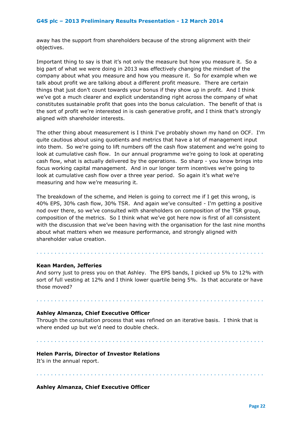away has the support from shareholders because of the strong alignment with their objectives.

Important thing to say is that it's not only the measure but how you measure it. So a big part of what we were doing in 2013 was effectively changing the mindset of the company about what you measure and how you measure it. So for example when we talk about profit we are talking about a different profit measure. There are certain things that just don't count towards your bonus if they show up in profit. And I think we've got a much clearer and explicit understanding right across the company of what constitutes sustainable profit that goes into the bonus calculation. The benefit of that is the sort of profit we're interested in is cash generative profit, and I think that's strongly aligned with shareholder interests.

The other thing about measurement is I think I've probably shown my hand on OCF. I'm quite cautious about using quotients and metrics that have a lot of management input into them. So we're going to lift numbers off the cash flow statement and we're going to look at cumulative cash flow. In our annual programme we're going to look at operating cash flow, what is actually delivered by the operations. So sharp - you know brings into focus working capital management. And in our longer term incentives we're going to look at cumulative cash flow over a three year period. So again it's what we're measuring and how we're measuring it.

The breakdown of the scheme, and Helen is going to correct me if I get this wrong, is 40% EPS, 30% cash flow, 30% TSR. And again we've consulted - I'm getting a positive nod over there, so we've consulted with shareholders on composition of the TSR group, composition of the metrics. So I think what we've got here now is first of all consistent with the discussion that we've been having with the organisation for the last nine months about what matters when we measure performance, and strongly aligned with shareholder value creation.

## **Kean Marden, Jefferies**

And sorry just to press you on that Ashley. The EPS bands, I picked up 5% to 12% with sort of full vesting at 12% and I think lower quartile being 5%. Is that accurate or have those moved?

. . . . . . . . . . . . . . . . . . . . . . . . . . . . . . . . . . . . . . . . . . . . . . . . . . . . . . . . . . . . . . .

#### **Ashley Almanza, Chief Executive Officer**

Through the consultation process that was refined on an iterative basis. I think that is where ended up but we'd need to double check.

. . . . . . . . . . . . . . . . . . . . . . . . . . . . . . . . . . . . . . . . . . . . . . . . . . . . . . . . . . . . . . .

. . . . . . . . . . . . . . . . . . . . . . . . . . . . . . . . . . . . . . . . . . . . . . . . . . . . . . . . . . . . . . .

#### **Helen Parris, Director of Investor Relations**

It's in the annual report.

. . . . . . . . . . . . . . . . . . . . . . . . . . . . . . . . . . . . . . . . . . . . . . . . . . . . . . . . . . . . . . .

## **Ashley Almanza, Chief Executive Officer**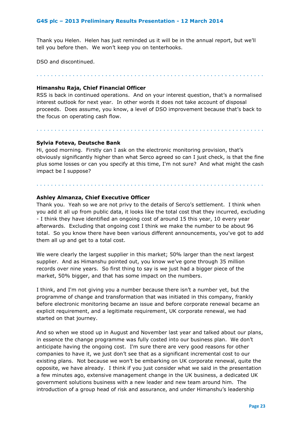Thank you Helen. Helen has just reminded us it will be in the annual report, but we'll tell you before then. We won't keep you on tenterhooks.

DSO and discontinued.

. . . . . . . . . . . . . . . . . . . . . . . . . . . . . . . . . . . . . . . . . . . . . . . . . . . . . . . . . . . . . . .

### **Himanshu Raja, Chief Financial Officer**

RSS is back in continued operations. And on your interest question, that's a normalised interest outlook for next year. In other words it does not take account of disposal proceeds. Does assume, you know, a level of DSO improvement because that's back to the focus on operating cash flow.

. . . . . . . . . . . . . . . . . . . . . . . . . . . . . . . . . . . . . . . . . . . . . . . . . . . . . . . . . . . . . . .

## **Sylvia Foteva, Deutsche Bank**

Hi, good morning. Firstly can I ask on the electronic monitoring provision, that's obviously significantly higher than what Serco agreed so can I just check, is that the fine plus some losses or can you specify at this time, I'm not sure? And what might the cash impact be I suppose?

. . . . . . . . . . . . . . . . . . . . . . . . . . . . . . . . . . . . . . . . . . . . . . . . . . . . . . . . . . . . . . .

## **Ashley Almanza, Chief Executive Officer**

Thank you. Yeah so we are not privy to the details of Serco's settlement. I think when you add it all up from public data, it looks like the total cost that they incurred, excluding - I think they have identified an ongoing cost of around 15 this year, 10 every year afterwards. Excluding that ongoing cost I think we make the number to be about 96 total. So you know there have been various different announcements, you've got to add them all up and get to a total cost.

We were clearly the largest supplier in this market; 50% larger than the next largest supplier. And as Himanshu pointed out, you know we've gone through 35 million records over nine years. So first thing to say is we just had a bigger piece of the market, 50% bigger, and that has some impact on the numbers.

I think, and I'm not giving you a number because there isn't a number yet, but the programme of change and transformation that was initiated in this company, frankly before electronic monitoring became an issue and before corporate renewal became an explicit requirement, and a legitimate requirement, UK corporate renewal, we had started on that journey.

And so when we stood up in August and November last year and talked about our plans, in essence the change programme was fully costed into our business plan. We don't anticipate having the ongoing cost. I'm sure there are very good reasons for other companies to have it, we just don't see that as a significant incremental cost to our existing plans. Not because we won't be embarking on UK corporate renewal, quite the opposite, we have already. I think if you just consider what we said in the presentation a few minutes ago, extensive management change in the UK business, a dedicated UK government solutions business with a new leader and new team around him. The introduction of a group head of risk and assurance, and under Himanshu's leadership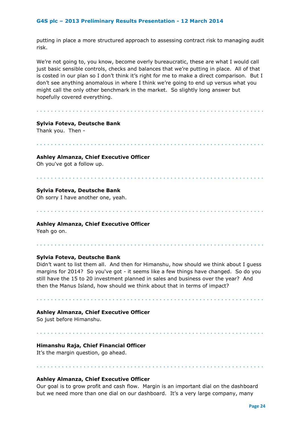putting in place a more structured approach to assessing contract risk to managing audit risk.

We're not going to, you know, become overly bureaucratic, these are what I would call just basic sensible controls, checks and balances that we're putting in place. All of that is costed in our plan so I don't think it's right for me to make a direct comparison. But I don't see anything anomalous in where I think we're going to end up versus what you might call the only other benchmark in the market. So slightly long answer but hopefully covered everything.

. . . . . . . . . . . . . . . . . . . . . . . . . . . . . . . . . . . . . . . . . . . . . . . . . . . . . . . . . . . . . . .

## **Sylvia Foteva, Deutsche Bank**

Thank you. Then -

#### . . . . . . . . . . . . . . . . . . . . . . . . . . . . . . . . . . . . . . . . . . . . . . . . . . . . . . . . . . . . . . .

#### **Ashley Almanza, Chief Executive Officer**

Oh you've got a follow up.

#### . . . . . . . . . . . . . . . . . . . . . . . . . . . . . . . . . . . . . . . . . . . . . . . . . . . . . . . . . . . . . . .

. . . . . . . . . . . . . . . . . . . . . . . . . . . . . . . . . . . . . . . . . . . . . . . . . . . . . . . . . . . . . . .

## **Sylvia Foteva, Deutsche Bank**

Oh sorry I have another one, yeah.

## **Ashley Almanza, Chief Executive Officer**

Yeah go on.

## **Sylvia Foteva, Deutsche Bank**

Didn't want to list them all. And then for Himanshu, how should we think about I guess margins for 2014? So you've got - it seems like a few things have changed. So do you still have the 15 to 20 investment planned in sales and business over the year? And then the Manus Island, how should we think about that in terms of impact?

. . . . . . . . . . . . . . . . . . . . . . . . . . . . . . . . . . . . . . . . . . . . . . . . . . . . . . . . . . . . . . .

. . . . . . . . . . . . . . . . . . . . . . . . . . . . . . . . . . . . . . . . . . . . . . . . . . . . . . . . . . . . . . .

. . . . . . . . . . . . . . . . . . . . . . . . . . . . . . . . . . . . . . . . . . . . . . . . . . . . . . . . . . . . . . .

## **Ashley Almanza, Chief Executive Officer**

So just before Himanshu.

## **Himanshu Raja, Chief Financial Officer**

It's the margin question, go ahead.

## **Ashley Almanza, Chief Executive Officer**

Our goal is to grow profit and cash flow. Margin is an important dial on the dashboard but we need more than one dial on our dashboard. It's a very large company, many

. . . . . . . . . . . . . . . . . . . . . . . . . . . . . . . . . . . . . . . . . . . . . . . . . . . . . . . . . . . . . . .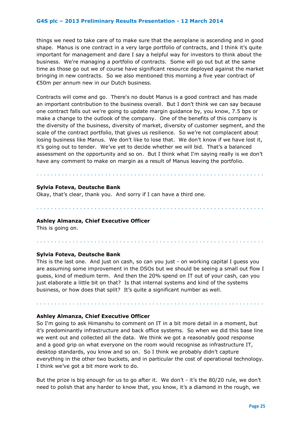things we need to take care of to make sure that the aeroplane is ascending and in good shape. Manus is one contract in a very large portfolio of contracts, and I think it's quite important for management and dare I say a helpful way for investors to think about the business. We're managing a portfolio of contracts. Some will go out but at the same time as those go out we of course have significant resource deployed against the market bringing in new contracts. So we also mentioned this morning a five year contract of €50m per annum new in our Dutch business.

Contracts will come and go. There's no doubt Manus is a good contract and has made an important contribution to the business overall. But I don't think we can say because one contract falls out we're going to update margin guidance by, you know, 7.5 bps or make a change to the outlook of the company. One of the benefits of this company is the diversity of the business, diversity of market, diversity of customer segment, and the scale of the contract portfolio, that gives us resilience. So we're not complacent about losing business like Manus. We don't like to lose that. We don't know if we have lost it, it's going out to tender. We've yet to decide whether we will bid. That's a balanced assessment on the opportunity and so on. But I think what I'm saying really is we don't have any comment to make on margin as a result of Manus leaving the portfolio.

. . . . . . . . . . . . . . . . . . . . . . . . . . . . . . . . . . . . . . . . . . . . . . . . . . . . . . . . . . . . . . .

#### **Sylvia Foteva, Deutsche Bank**

Okay, that's clear, thank you. And sorry if I can have a third one.

#### **Ashley Almanza, Chief Executive Officer**

This is going on.

## **Sylvia Foteva, Deutsche Bank**

This is the last one. And just on cash, so can you just - on working capital I guess you are assuming some improvement in the DSOs but we should be seeing a small out flow I guess, kind of medium term. And then the 20% spend on IT out of your cash, can you just elaborate a little bit on that? Is that internal systems and kind of the systems business, or how does that split? It's quite a significant number as well.

. . . . . . . . . . . . . . . . . . . . . . . . . . . . . . . . . . . . . . . . . . . . . . . . . . . . . . . . . . . . . . .

. . . . . . . . . . . . . . . . . . . . . . . . . . . . . . . . . . . . . . . . . . . . . . . . . . . . . . . . . . . . . . .

. . . . . . . . . . . . . . . . . . . . . . . . . . . . . . . . . . . . . . . . . . . . . . . . . . . . . . . . . . . . . . .

#### **Ashley Almanza, Chief Executive Officer**

So I'm going to ask Himanshu to comment on IT in a bit more detail in a moment, but it's predominantly infrastructure and back office systems. So when we did this base line we went out and collected all the data. We think we got a reasonably good response and a good grip on what everyone on the room would recognise as infrastructure IT, desktop standards, you know and so on. So I think we probably didn't capture everything in the other two buckets, and in particular the cost of operational technology. I think we've got a bit more work to do.

But the prize is big enough for us to go after it. We don't - it's the 80/20 rule, we don't need to polish that any harder to know that, you know, it's a diamond in the rough, we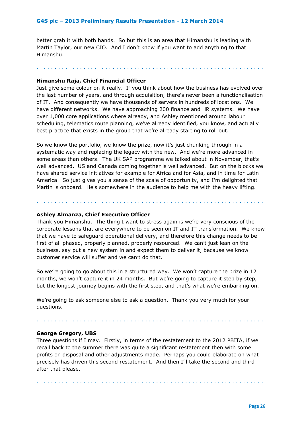better grab it with both hands. So but this is an area that Himanshu is leading with Martin Taylor, our new CIO. And I don't know if you want to add anything to that Himanshu.

. . . . . . . . . . . . . . . . . . . . . . . . . . . . . . . . . . . . . . . . . . . . . . . . . . . . . . . . . . . . . . .

#### **Himanshu Raja, Chief Financial Officer**

Just give some colour on it really. If you think about how the business has evolved over the last number of years, and through acquisition, there's never been a functionalisation of IT. And consequently we have thousands of servers in hundreds of locations. We have different networks. We have approaching 200 finance and HR systems. We have over 1,000 core applications where already, and Ashley mentioned around labour scheduling, telematics route planning, we've already identified, you know, and actually best practice that exists in the group that we're already starting to roll out.

So we know the portfolio, we know the prize, now it's just chunking through in a systematic way and replacing the legacy with the new. And we're more advanced in some areas than others. The UK SAP programme we talked about in November, that's well advanced. US and Canada coming together is well advanced. But on the blocks we have shared service initiatives for example for Africa and for Asia, and in time for Latin America. So just gives you a sense of the scale of opportunity, and I'm delighted that Martin is onboard. He's somewhere in the audience to help me with the heavy lifting.

. . . . . . . . . . . . . . . . . . . . . . . . . . . . . . . . . . . . . . . . . . . . . . . . . . . . . . . . . . . . . . .

#### **Ashley Almanza, Chief Executive Officer**

Thank you Himanshu. The thing I want to stress again is we're very conscious of the corporate lessons that are everywhere to be seen on IT and IT transformation. We know that we have to safeguard operational delivery, and therefore this change needs to be first of all phased, properly planned, properly resourced. We can't just lean on the business, say put a new system in and expect them to deliver it, because we know customer service will suffer and we can't do that.

So we're going to go about this in a structured way. We won't capture the prize in 12 months, we won't capture it in 24 months. But we're going to capture it step by step, but the longest journey begins with the first step, and that's what we're embarking on.

We're going to ask someone else to ask a question. Thank you very much for your questions.

#### **George Gregory, UBS**

Three questions if I may. Firstly, in terms of the restatement to the 2012 PBITA, if we recall back to the summer there was quite a significant restatement then with some profits on disposal and other adjustments made. Perhaps you could elaborate on what precisely has driven this second restatement. And then I'll take the second and third after that please.

. . . . . . . . . . . . . . . . . . . . . . . . . . . . . . . . . . . . . . . . . . . . . . . . . . . . . . . . . . . . . . .

. . . . . . . . . . . . . . . . . . . . . . . . . . . . . . . . . . . . . . . . . . . . . . . . . . . . . . . . . . . . . . .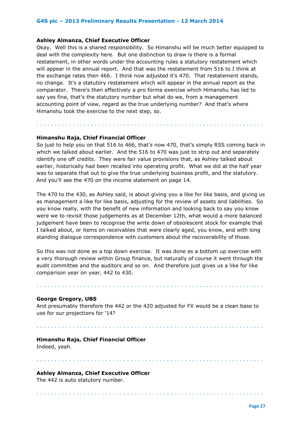#### **Ashley Almanza, Chief Executive Officer**

Okay. Well this is a shared responsibility. So Himanshu will be much better equipped to deal with the complexity here. But one distinction to draw is there is a formal restatement, in other words under the accounting rules a statutory restatement which will appear in the annual report. And that was the restatement from 516 to I think at the exchange rates then 466. I think now adjusted it's 470. That restatement stands, no change. It's a statutory restatement which will appear in the annual report as the comparator. There's then effectively a pro forma exercise which Himanshu has led to say yes fine, that's the statutory number but what do we, from a management accounting point of view, regard as the true underlying number? And that's where Himanshu took the exercise to the next step, so.

## **Himanshu Raja, Chief Financial Officer**

So just to help you on that 516 to 466, that's now 470, that's simply RSS coming back in which we talked about earlier. And the 516 to 470 was just to strip out and separately identify one off credits. They were fair value provisions that, as Ashley talked about earlier, historically had been recalled into operating profit. What we did at the half year was to separate that out to give the true underlying business profit, and the statutory. And you'll see the 470 on the income statement on page 14.

. . . . . . . . . . . . . . . . . . . . . . . . . . . . . . . . . . . . . . . . . . . . . . . . . . . . . . . . . . . . . . .

The 470 to the 430, as Ashley said, is about giving you a like for like basis, and giving us as management a like for like basis, adjusting for the review of assets and liabilities. So you know really, with the benefit of new information and looking back to say you know were we to revisit those judgements as at December 12th, what would a more balanced judgement have been to recognise the write down of obsolescent stock for example that I talked about, or items on receivables that were clearly aged, you know, and with long standing dialogue correspondence with customers about the recoverability of those.

So this was not done as a top down exercise. It was done as a bottom up exercise with a very thorough review within Group finance, but naturally of course it went through the audit committee and the auditors and so on. And therefore just gives us a like for like comparison year on year, 442 to 430.

. . . . . . . . . . . . . . . . . . . . . . . . . . . . . . . . . . . . . . . . . . . . . . . . . . . . . . . . . . . . . . .

## **George Gregory, UBS**

And presumably therefore the 442 or the 420 adjusted for FX would be a clean base to use for our projections for '14?

. . . . . . . . . . . . . . . . . . . . . . . . . . . . . . . . . . . . . . . . . . . . . . . . . . . . . . . . . . . . . . .

. . . . . . . . . . . . . . . . . . . . . . . . . . . . . . . . . . . . . . . . . . . . . . . . . . . . . . . . . . . . . . .

. . . . . . . . . . . . . . . . . . . . . . . . . . . . . . . . . . . . . . . . . . . . . . . . . . . . . . . . . . . . . . .

#### **Himanshu Raja, Chief Financial Officer**

Indeed, yeah.

## **Ashley Almanza, Chief Executive Officer**

The 442 is auto statutory number.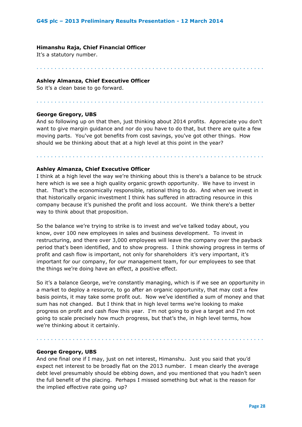#### **Himanshu Raja, Chief Financial Officer**

It's a statutory number.

#### **Ashley Almanza, Chief Executive Officer**

So it's a clean base to go forward.

#### **George Gregory, UBS**

And so following up on that then, just thinking about 2014 profits. Appreciate you don't want to give margin guidance and nor do you have to do that, but there are quite a few moving parts. You've got benefits from cost savings, you've got other things. How should we be thinking about that at a high level at this point in the year?

. . . . . . . . . . . . . . . . . . . . . . . . . . . . . . . . . . . . . . . . . . . . . . . . . . . . . . . . . . . . . . .

. . . . . . . . . . . . . . . . . . . . . . . . . . . . . . . . . . . . . . . . . . . . . . . . . . . . . . . . . . . . . . .

. . . . . . . . . . . . . . . . . . . . . . . . . . . . . . . . . . . . . . . . . . . . . . . . . . . . . . . . . . . . . . .

## **Ashley Almanza, Chief Executive Officer**

I think at a high level the way we're thinking about this is there's a balance to be struck here which is we see a high quality organic growth opportunity. We have to invest in that. That's the economically responsible, rational thing to do. And when we invest in that historically organic investment I think has suffered in attracting resource in this company because it's punished the profit and loss account. We think there's a better way to think about that proposition.

So the balance we're trying to strike is to invest and we've talked today about, you know, over 100 new employees in sales and business development. To invest in restructuring, and there over 3,000 employees will leave the company over the payback period that's been identified, and to show progress. I think showing progress in terms of profit and cash flow is important, not only for shareholders it's very important, it's important for our company, for our management team, for our employees to see that the things we're doing have an effect, a positive effect.

So it's a balance George, we're constantly managing, which is if we see an opportunity in a market to deploy a resource, to go after an organic opportunity, that may cost a few basis points, it may take some profit out. Now we've identified a sum of money and that sum has not changed. But I think that in high level terms we're looking to make progress on profit and cash flow this year. I'm not going to give a target and I'm not going to scale precisely how much progress, but that's the, in high level terms, how we're thinking about it certainly.

. . . . . . . . . . . . . . . . . . . . . . . . . . . . . . . . . . . . . . . . . . . . . . . . . . . . . . . . . . . . . . .

#### **George Gregory, UBS**

And one final one if I may, just on net interest, Himanshu. Just you said that you'd expect net interest to be broadly flat on the 2013 number. I mean clearly the average debt level presumably should be ebbing down, and you mentioned that you hadn't seen the full benefit of the placing. Perhaps I missed something but what is the reason for the implied effective rate going up?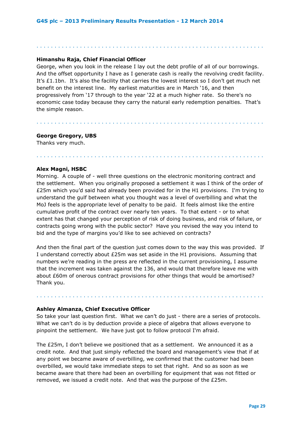## **Himanshu Raja, Chief Financial Officer**

George, when you look in the release I lay out the debt profile of all of our borrowings. And the offset opportunity I have as I generate cash is really the revolving credit facility. It's £1.1bn. It's also the facility that carries the lowest interest so I don't get much net benefit on the interest line. My earliest maturities are in March '16, and then progressively from '17 through to the year '22 at a much higher rate. So there's no economic case today because they carry the natural early redemption penalties. That's the simple reason.

. . . . . . . . . . . . . . . . . . . . . . . . . . . . . . . . . . . . . . . . . . . . . . . . . . . . . . . . . . . . . . .

. . . . . . . . . . . . . . . . . . . . . . . . . . . . . . . . . . . . . . . . . . . . . . . . . . . . . . . . . . . . . . .

. . . . . . . . . . . . . . . . . . . . . . . . . . . . . . . . . . . . . . . . . . . . . . . . . . . . . . . . . . . . . . .

**George Gregory, UBS** Thanks very much.

#### **Alex Magni, HSBC**

Morning. A couple of - well three questions on the electronic monitoring contract and the settlement. When you originally proposed a settlement it was I think of the order of £25m which you'd said had already been provided for in the H1 provisions. I'm trying to understand the gulf between what you thought was a level of overbilling and what the MoJ feels is the appropriate level of penalty to be paid. It feels almost like the entire cumulative profit of the contract over nearly ten years. To that extent - or to what extent has that changed your perception of risk of doing business, and risk of failure, or contracts going wrong with the public sector? Have you revised the way you intend to bid and the type of margins you'd like to see achieved on contracts?

And then the final part of the question just comes down to the way this was provided. If I understand correctly about £25m was set aside in the H1 provisions. Assuming that numbers we're reading in the press are reflected in the current provisioning, I assume that the increment was taken against the 136, and would that therefore leave me with about £60m of onerous contract provisions for other things that would be amortised? Thank you.

## **Ashley Almanza, Chief Executive Officer**

So take your last question first. What we can't do just - there are a series of protocols. What we can't do is by deduction provide a piece of algebra that allows everyone to pinpoint the settlement. We have just got to follow protocol I'm afraid.

. . . . . . . . . . . . . . . . . . . . . . . . . . . . . . . . . . . . . . . . . . . . . . . . . . . . . . . . . . . . . . .

The £25m, I don't believe we positioned that as a settlement. We announced it as a credit note. And that just simply reflected the board and management's view that if at any point we became aware of overbilling, we confirmed that the customer had been overbilled, we would take immediate steps to set that right. And so as soon as we became aware that there had been an overbilling for equipment that was not fitted or removed, we issued a credit note. And that was the purpose of the £25m.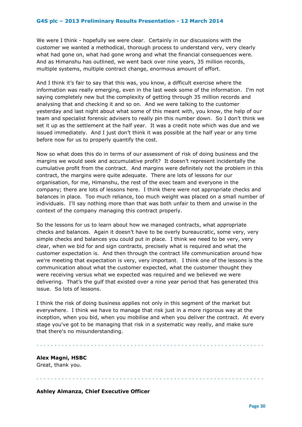We were I think - hopefully we were clear. Certainly in our discussions with the customer we wanted a methodical, thorough process to understand very, very clearly what had gone on, what had gone wrong and what the financial consequences were. And as Himanshu has outlined, we went back over nine years, 35 million records, multiple systems, multiple contract change, enormous amount of effort.

And I think it's fair to say that this was, you know, a difficult exercise where the information was really emerging, even in the last week some of the information. I'm not saying completely new but the complexity of getting through 35 million records and analysing that and checking it and so on. And we were talking to the customer yesterday and last night about what some of this meant with, you know, the help of our team and specialist forensic advisers to really pin this number down. So I don't think we set it up as the settlement at the half year. It was a credit note which was due and we issued immediately. And I just don't think it was possible at the half year or any time before now for us to properly quantify the cost.

Now so what does this do in terms of our assessment of risk of doing business and the margins we would seek and accumulative profit? It doesn't represent incidentally the cumulative profit from the contract. And margins were definitely not the problem in this contract, the margins were quite adequate. There are lots of lessons for our organisation, for me, Himanshu, the rest of the exec team and everyone in the company; there are lots of lessons here. I think there were not appropriate checks and balances in place. Too much reliance, too much weight was placed on a small number of individuals. I'll say nothing more than that was both unfair to them and unwise in the context of the company managing this contract properly.

So the lessons for us to learn about how we managed contracts, what appropriate checks and balances. Again it doesn't have to be overly bureaucratic, some very, very simple checks and balances you could put in place. I think we need to be very, very clear, when we bid for and sign contracts, precisely what is required and what the customer expectation is. And then through the contract life communication around how we're meeting that expectation is very, very important. I think one of the lessons is the communication about what the customer expected, what the customer thought they were receiving versus what we expected was required and we believed we were delivering. That's the gulf that existed over a nine year period that has generated this issue. So lots of lessons.

I think the risk of doing business applies not only in this segment of the market but everywhere. I think we have to manage that risk just in a more rigorous way at the inception, when you bid, when you mobilise and when you deliver the contract. At every stage you've got to be managing that risk in a systematic way really, and make sure that there's no misunderstanding.

. . . . . . . . . . . . . . . . . . . . . . . . . . . . . . . . . . . . . . . . . . . . . . . . . . . . . . . . . . . . . . .

. . . . . . . . . . . . . . . . . . . . . . . . . . . . . . . . . . . . . . . . . . . . . . . . . . . . . . . . . . . . . . .

## **Alex Magni, HSBC**

Great, thank you.

**Ashley Almanza, Chief Executive Officer**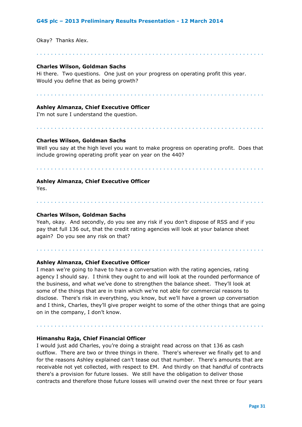Okay? Thanks Alex.

## **Charles Wilson, Goldman Sachs**

Hi there. Two questions. One just on your progress on operating profit this year. Would you define that as being growth?

. . . . . . . . . . . . . . . . . . . . . . . . . . . . . . . . . . . . . . . . . . . . . . . . . . . . . . . . . . . . . . .

. . . . . . . . . . . . . . . . . . . . . . . . . . . . . . . . . . . . . . . . . . . . . . . . . . . . . . . . . . . . . . .

#### **Ashley Almanza, Chief Executive Officer**

I'm not sure I understand the question.

## **Charles Wilson, Goldman Sachs**

Well you say at the high level you want to make progress on operating profit. Does that include growing operating profit year on year on the 440?

. . . . . . . . . . . . . . . . . . . . . . . . . . . . . . . . . . . . . . . . . . . . . . . . . . . . . . . . . . . . . . .

. . . . . . . . . . . . . . . . . . . . . . . . . . . . . . . . . . . . . . . . . . . . . . . . . . . . . . . . . . . . . . .

. . . . . . . . . . . . . . . . . . . . . . . . . . . . . . . . . . . . . . . . . . . . . . . . . . . . . . . . . . . . . . .

. . . . . . . . . . . . . . . . . . . . . . . . . . . . . . . . . . . . . . . . . . . . . . . . . . . . . . . . . . . . . . .

#### **Ashley Almanza, Chief Executive Officer**

 $Y_{\mathsf{AC}}$ 

## **Charles Wilson, Goldman Sachs**

Yeah, okay. And secondly, do you see any risk if you don't dispose of RSS and if you pay that full 136 out, that the credit rating agencies will look at your balance sheet again? Do you see any risk on that?

. . . . . . . . . . . . . . . . . . . . . . . . . . . . . . . . . . . . . . . . . . . . . . . . . . . . . . . . . . . . . . .

## **Ashley Almanza, Chief Executive Officer**

I mean we're going to have to have a conversation with the rating agencies, rating agency I should say. I think they ought to and will look at the rounded performance of the business, and what we've done to strengthen the balance sheet. They'll look at some of the things that are in train which we're not able for commercial reasons to disclose. There's risk in everything, you know, but we'll have a grown up conversation and I think, Charles, they'll give proper weight to some of the other things that are going on in the company, I don't know.

#### **Himanshu Raja, Chief Financial Officer**

I would just add Charles, you're doing a straight read across on that 136 as cash outflow. There are two or three things in there. There's wherever we finally get to and for the reasons Ashley explained can't tease out that number. There's amounts that are receivable not yet collected, with respect to EM. And thirdly on that handful of contracts there's a provision for future losses. We still have the obligation to deliver those contracts and therefore those future losses will unwind over the next three or four years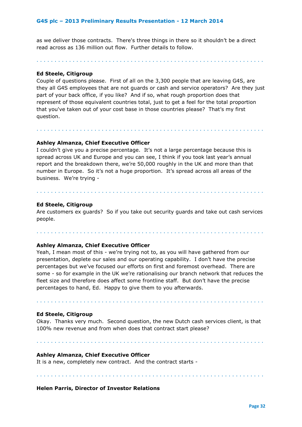as we deliver those contracts. There's three things in there so it shouldn't be a direct read across as 136 million out flow. Further details to follow.

. . . . . . . . . . . . . . . . . . . . . . . . . . . . . . . . . . . . . . . . . . . . . . . . . . . . . . . . . . . . . . .

#### **Ed Steele, Citigroup**

Couple of questions please. First of all on the 3,300 people that are leaving G4S, are they all G4S employees that are not guards or cash and service operators? Are they just part of your back office, if you like? And if so, what rough proportion does that represent of those equivalent countries total, just to get a feel for the total proportion that you've taken out of your cost base in those countries please? That's my first question.

. . . . . . . . . . . . . . . . . . . . . . . . . . . . . . . . . . . . . . . . . . . . . . . . . . . . . . . . . . . . . . .

## **Ashley Almanza, Chief Executive Officer**

I couldn't give you a precise percentage. It's not a large percentage because this is spread across UK and Europe and you can see, I think if you took last year's annual report and the breakdown there, we're 50,000 roughly in the UK and more than that number in Europe. So it's not a huge proportion. It's spread across all areas of the business. We're trying -

#### **Ed Steele, Citigroup**

Are customers ex guards? So if you take out security guards and take out cash services people.

. . . . . . . . . . . . . . . . . . . . . . . . . . . . . . . . . . . . . . . . . . . . . . . . . . . . . . . . . . . . . . .

. . . . . . . . . . . . . . . . . . . . . . . . . . . . . . . . . . . . . . . . . . . . . . . . . . . . . . . . . . . . . . .

#### **Ashley Almanza, Chief Executive Officer**

Yeah, I mean most of this - we're trying not to, as you will have gathered from our presentation, deplete our sales and our operating capability. I don't have the precise percentages but we've focused our efforts on first and foremost overhead. There are some - so for example in the UK we're rationalising our branch network that reduces the fleet size and therefore does affect some frontline staff. But don't have the precise percentages to hand, Ed. Happy to give them to you afterwards.

#### **Ed Steele, Citigroup**

Okay. Thanks very much. Second question, the new Dutch cash services client, is that 100% new revenue and from when does that contract start please?

. . . . . . . . . . . . . . . . . . . . . . . . . . . . . . . . . . . . . . . . . . . . . . . . . . . . . . . . . . . . . . .

. . . . . . . . . . . . . . . . . . . . . . . . . . . . . . . . . . . . . . . . . . . . . . . . . . . . . . . . . . . . . . .

#### **Ashley Almanza, Chief Executive Officer**

It is a new, completely new contract. And the contract starts -

. . . . . . . . . . . . . . . . . . . . . . . . . . . . . . . . . . . . . . . . . . . . . . . . . . . . . . . . . . . . . . .

#### **Helen Parris, Director of Investor Relations**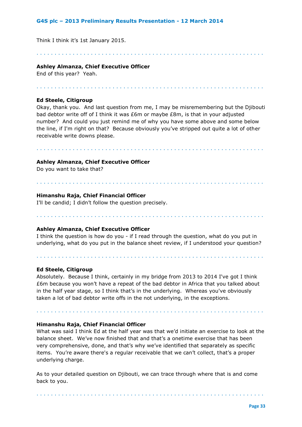Think I think it's 1st January 2015.

. . . . . . . . . . . . . . . . . . . . . . . . . . . . . . . . . . . . . . . . . . . . . . . . . . . . . . . . . . . . . . .

## **Ashley Almanza, Chief Executive Officer**

End of this year? Yeah.

. . . . . . . . . . . . . . . . . . . . . . . . . . . . . . . . . . . . . . . . . . . . . . . . . . . . . . . . . . . . . . .

## **Ed Steele, Citigroup**

Okay, thank you. And last question from me, I may be misremembering but the Djibouti bad debtor write off of I think it was £6m or maybe £8m, is that in your adjusted number? And could you just remind me of why you have some above and some below the line, if I'm right on that? Because obviously you've stripped out quite a lot of other receivable write downs please.

. . . . . . . . . . . . . . . . . . . . . . . . . . . . . . . . . . . . . . . . . . . . . . . . . . . . . . . . . . . . . . .

. . . . . . . . . . . . . . . . . . . . . . . . . . . . . . . . . . . . . . . . . . . . . . . . . . . . . . . . . . . . . . .

## **Ashley Almanza, Chief Executive Officer**

Do you want to take that?

## **Himanshu Raja, Chief Financial Officer**

I'll be candid; I didn't follow the question precisely.

# **Ashley Almanza, Chief Executive Officer**

. . . . . . . . . . . . . . . . . . . . . . . . . . . . . . . . . . . . . . . . . . . . . . . . . . . . . . . . . . . . . . .

I think the question is how do you - if I read through the question, what do you put in underlying, what do you put in the balance sheet review, if I understood your question?

. . . . . . . . . . . . . . . . . . . . . . . . . . . . . . . . . . . . . . . . . . . . . . . . . . . . . . . . . . . . . . .

## **Ed Steele, Citigroup**

Absolutely. Because I think, certainly in my bridge from 2013 to 2014 I've got I think £6m because you won't have a repeat of the bad debtor in Africa that you talked about in the half year stage, so I think that's in the underlying. Whereas you've obviously taken a lot of bad debtor write offs in the not underlying, in the exceptions.

. . . . . . . . . . . . . . . . . . . . . . . . . . . . . . . . . . . . . . . . . . . . . . . . . . . . . . . . . . . . . . .

## **Himanshu Raja, Chief Financial Officer**

What was said I think Ed at the half year was that we'd initiate an exercise to look at the balance sheet. We've now finished that and that's a onetime exercise that has been very comprehensive, done, and that's why we've identified that separately as specific items. You're aware there's a regular receivable that we can't collect, that's a proper underlying charge.

As to your detailed question on Djibouti, we can trace through where that is and come back to you.

. . . . . . . . . . . . . . . . . . . . . . . . . . . . . . . . . . . . . . . . . . . . . . . . . . . . . . . . . . . . . . .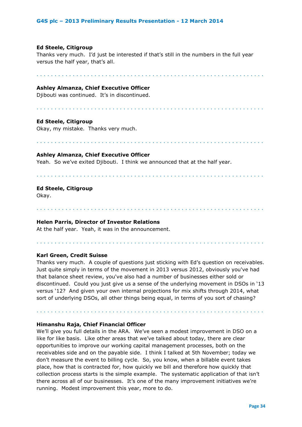#### **Ed Steele, Citigroup**

Thanks very much. I'd just be interested if that's still in the numbers in the full year versus the half year, that's all.

. . . . . . . . . . . . . . . . . . . . . . . . . . . . . . . . . . . . . . . . . . . . . . . . . . . . . . . . . . . . . . .

## **Ashley Almanza, Chief Executive Officer**

Djibouti was continued. It's in discontinued.

. . . . . . . . . . . . . . . . . . . . . . . . . . . . . . . . . . . . . . . . . . . . . . . . . . . . . . . . . . . . . . .

#### **Ed Steele, Citigroup**

Okay, my mistake. Thanks very much.

. . . . . . . . . . . . . . . . . . . . . . . . . . . . . . . . . . . . . . . . . . . . . . . . . . . . . . . . . . . . . . .

#### **Ashley Almanza, Chief Executive Officer**

Yeah. So we've exited Djibouti. I think we announced that at the half year.

. . . . . . . . . . . . . . . . . . . . . . . . . . . . . . . . . . . . . . . . . . . . . . . . . . . . . . . . . . . . . . .

. . . . . . . . . . . . . . . . . . . . . . . . . . . . . . . . . . . . . . . . . . . . . . . . . . . . . . . . . . . . . . .

#### **Ed Steele, Citigroup**

Okay.

## **Helen Parris, Director of Investor Relations**

At the half year. Yeah, it was in the announcement.

#### **Karl Green, Credit Suisse**

Thanks very much. A couple of questions just sticking with Ed's question on receivables. Just quite simply in terms of the movement in 2013 versus 2012, obviously you've had that balance sheet review, you've also had a number of businesses either sold or discontinued. Could you just give us a sense of the underlying movement in DSOs in '13 versus '12? And given your own internal projections for mix shifts through 2014, what sort of underlying DSOs, all other things being equal, in terms of you sort of chasing?

. . . . . . . . . . . . . . . . . . . . . . . . . . . . . . . . . . . . . . . . . . . . . . . . . . . . . . . . . . . . . . .

. . . . . . . . . . . . . . . . . . . . . . . . . . . . . . . . . . . . . . . . . . . . . . . . . . . . . . . . . . . . . . .

#### **Himanshu Raja, Chief Financial Officer**

We'll give you full details in the ARA. We've seen a modest improvement in DSO on a like for like basis. Like other areas that we've talked about today, there are clear opportunities to improve our working capital management processes, both on the receivables side and on the payable side. I think I talked at 5th November; today we don't measure the event to billing cycle. So, you know, when a billable event takes place, how that is contracted for, how quickly we bill and therefore how quickly that collection process starts is the simple example. The systematic application of that isn't there across all of our businesses. It's one of the many improvement initiatives we're running. Modest improvement this year, more to do.